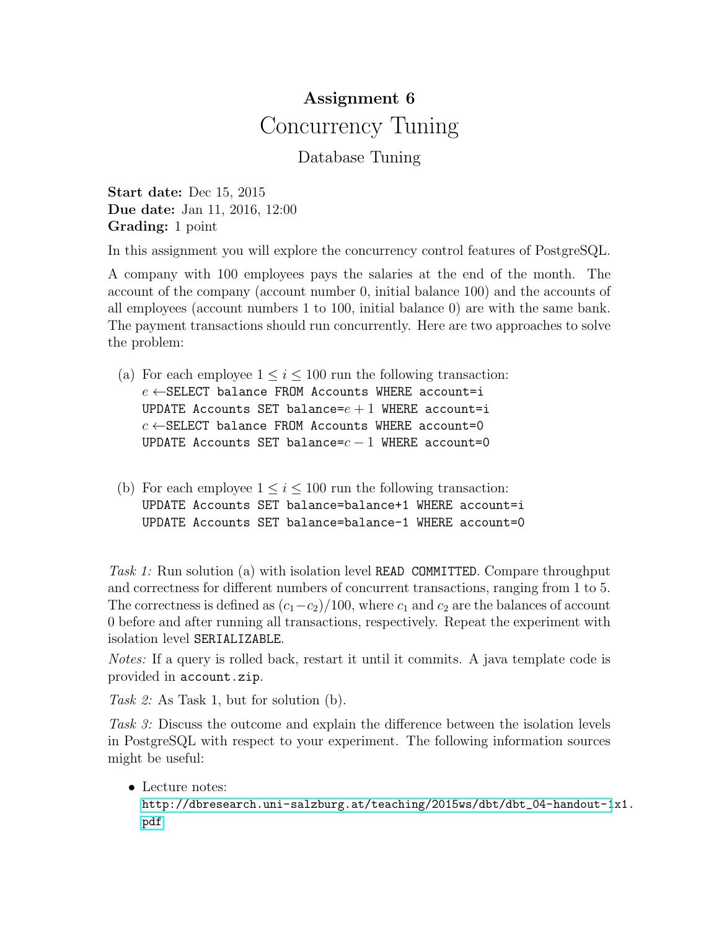## Assignment 6 Concurrency Tuning

## Database Tuning

Start date: Dec 15, 2015 Due date: Jan 11, 2016, 12:00 Grading: 1 point

In this assignment you will explore the concurrency control features of PostgreSQL.

A company with 100 employees pays the salaries at the end of the month. The account of the company (account number 0, initial balance 100) and the accounts of all employees (account numbers 1 to 100, initial balance 0) are with the same bank. The payment transactions should run concurrently. Here are two approaches to solve the problem:

- (a) For each employee  $1 \leq i \leq 100$  run the following transaction:  $e \leftarrow$ SELECT balance FROM Accounts WHERE account=i UPDATE Accounts SET balance= $e + 1$  WHERE account=i  $c \leftarrow$ SELECT balance FROM Accounts WHERE account=0 UPDATE Accounts SET balance= $c - 1$  WHERE account=0
- (b) For each employee  $1 \leq i \leq 100$  run the following transaction: UPDATE Accounts SET balance=balance+1 WHERE account=i UPDATE Accounts SET balance=balance-1 WHERE account=0

Task 1: Run solution (a) with isolation level READ COMMITTED. Compare throughput and correctness for different numbers of concurrent transactions, ranging from 1 to 5. The correctness is defined as  $(c_1-c_2)/100$ , where  $c_1$  and  $c_2$  are the balances of account 0 before and after running all transactions, respectively. Repeat the experiment with isolation level SERIALIZABLE.

Notes: If a query is rolled back, restart it until it commits. A java template code is provided in account.zip.

Task 2: As Task 1, but for solution (b).

Task 3: Discuss the outcome and explain the difference between the isolation levels in PostgreSQL with respect to your experiment. The following information sources might be useful:

• Lecture notes:

```
http://dbresearch.uni-salzburg.at/teaching/2015ws/dbt/dbt_04-handout-1x1.
pdf
```